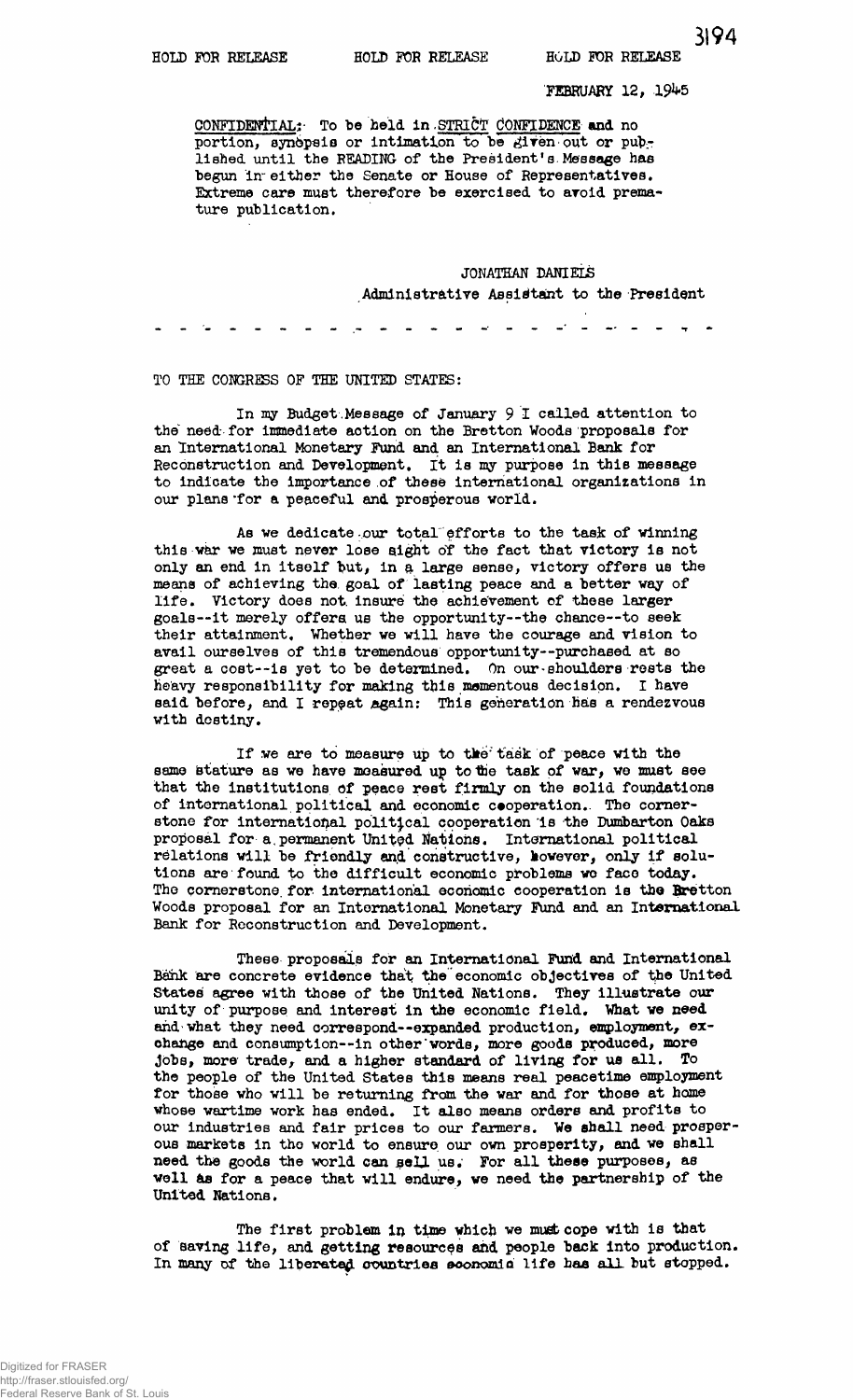**3194**

FEBRUARY 12, 1945

CONFIDENTIAL: To be held in STRICT CONFIDENCE and no portion, synopsis or intimation to be given out or published until the READING of the President's.Message has begun in either the Senate or House of Representatives. Extreme care must therefore be exercised to avoid premature publication.

## JONATHAN DANIELS Administrative Assistant to the President

TO THE CONGRESS OF THE UNITED STATES:

In my Budget .Message of January 9 I called attention to the need for immediate action on the Bretton Woods proposals for an International Monetary Fund and an International Bank for Reconstruction and Development. It is my purpose in this message to indicate the Importance of these international organizations in our plans for a peaceful and prosperous world.

As we dedicate our total efforts to the task of winning this war we must never lose sight of the fact that victory is not only an end in itself but, in a large sense, victory offers us the means of achieving the. goal of lasting peace and a better way of life. Victory does not. insure the achievement of these larger goals—it merely offera us the opportunity—the chance—to seek their attainment. Whether we will have the courage and vision to avail ourselves of this tremendous opportunity—purchased at so great a cost--is yet to be determined. On our shoulders rests the heavy responsibility for making this mamentous decision. I have said before, and I repeat again: This generation has a rendezvous with destiny.

If we are to measure up to the task of peace with the same stature as we have measured up to the task of war, we must see that the institutions of peace rest firmly on the solid foundations of international political and economic cooperation. The cornerstone for international political cooperation is the Dumbarton Oaks proposal for a,permanent United Nations. International political relations will be friendly and constructive, however, only if solutions are found to the difficult economic problems wo face today. The cornerstone for international economic cooperation is the Bretton Woods proposal for an International Monetary Fund and an International Bank for Reconstruction and Development.

These proposals for an International Fund and International B&hk are concrete evidence that the" economic objectives of the United States agree with those of the United Nations. They illustrate our unity of purpose and interest in the economic field. What we need and what they need correspond--expanded production, employment, exchange and consumption--in other'words, more goods produced, more Jobs, more trade, and a higher standard of living for us all. To the people of the United States this means real peacetime employment for those who will be returning from the war and for those at home whose wartime work has ended. It also means orders and profits to our industries and fair prices to our farmers. We shall need prosperous markets in tho world to ensure our own prosperity, and we shall need the goods the world can sell us. For all these purposes, as well as for a peace that will endure, we need the partnership of the United Nations.

The first problem in time which we must cope with is that of saving life, and getting resources and people back into production. In many of the liberated countries sconomic life has all but stopped.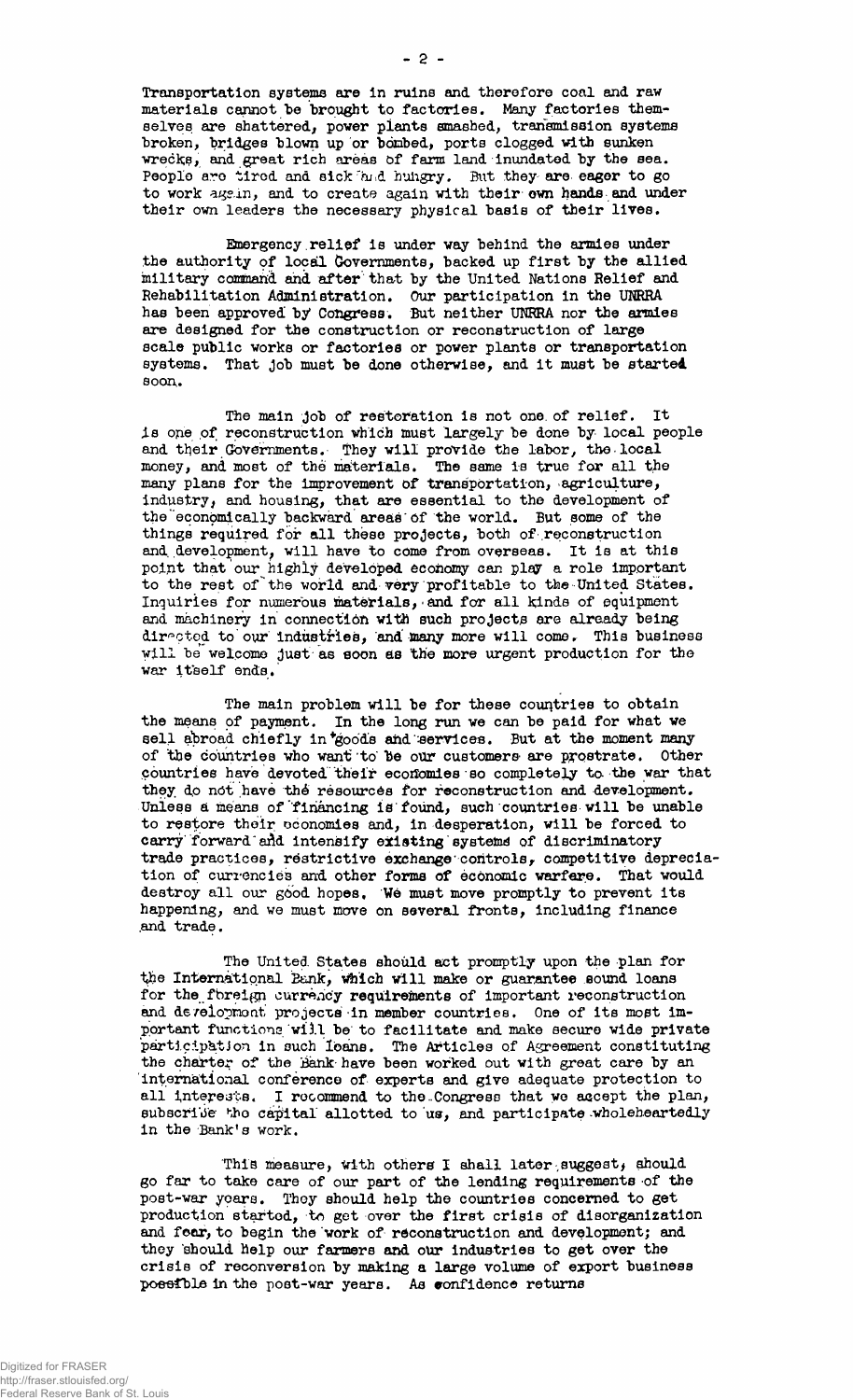Transportation systems are in ruins and therefore coal and raw materials cannot be brought to factories. Many factories themselves are shattered, power plants smashed, transmission systems broken, bridges blown up or bombed, ports clogged with sunken  $w$ recks, and great rich areas of farm land inundated by the sea. People aro tired and sick "and hungry. But they are eager to go to work agein, and to create again with their own hands and under their own leaders the necessary physical basis of their lives.

Emergency,relief is under way behind the armies under the authority pf local Governments, backed up first by the allied military command and after that by the United Nations Relief and Rehabilitation Administration. Our participation in the UNRRA has been approved by Congress. But neither UNRRA nor the armies are designed for the construction or reconstruction of large scale public works or factories or power plants or transportation systems. That job must be done otherwise, and it must be started soon,.

The main job of restoration is not one. of relief. It is one of reconstruction which must largely be done by local people and their Governments. They will provide the labor, the local money, and most of the materials. The same is true for all the many plans for the improvement of transportation, 'agriculture, industry, and housing, that are essential to the development of the economically backward areas of the world. But some of the things required for all these projects, both of reconstruction and development, will have to come from overseas. It is at this point that our highly developed economy can play a role important to the rest of the world and very profitable to the United States. Inquiries for numerous materials, and for all kinds of equipment and machinery in connection with such projects are already being directed to our industries, and many more will come. This business will be welcome just as soon as the more urgent production for the war itself ends.

The main problem will be for these countries to obtain the means of payment. In the long run we can be paid for what we sell abroad chiefly in goods and services. But at the moment many of the countries who want to be our customers are prostrate. Other countries have devoted their economies • so completely to. the war that they do not have the resources for reconstruction and development. Unless a means of financing is found, such countries will be unable to restore their economies and, in desperation, will be forced to carry forward and intensify existing systems of discriminatory trade practices, restrictive exchange'controls, competitive depreciation of currencies and other forms of economic warfare. That would destroy all our good hopes. We must move promptly to prevent its happening, and we must move on several fronts, including finance .and trade.

The United States should act promptly upon the plan for the International Bank, which will make or guarantee sound loans for the foreign currency requirements of important reconstruction and development projects in member countries. One of its most important functions will be to facilitate and make secure wide private participation in ouch loans. The Articles of Agreement constituting the charter of the Bank-have been worked out with great care by an international conference of experts and give adequate protection to all interests. I recommend to the Congress that we accept the plan, subscribe the capital allotted to us, and participate wholeheartedly in the Bank's work.

This measure, with others I shall later suggest, should go far to take care of our part of the lending requirements of the post-war years. They should help the countries concerned to get production started, to get over the first crisis of disorganization and fear, to begin the work of reconstruction and development; and they "should help our farmers and our Industries to get over the crisis of reconversion by making a large volume of export business poesible in the post-war years. As confidence returns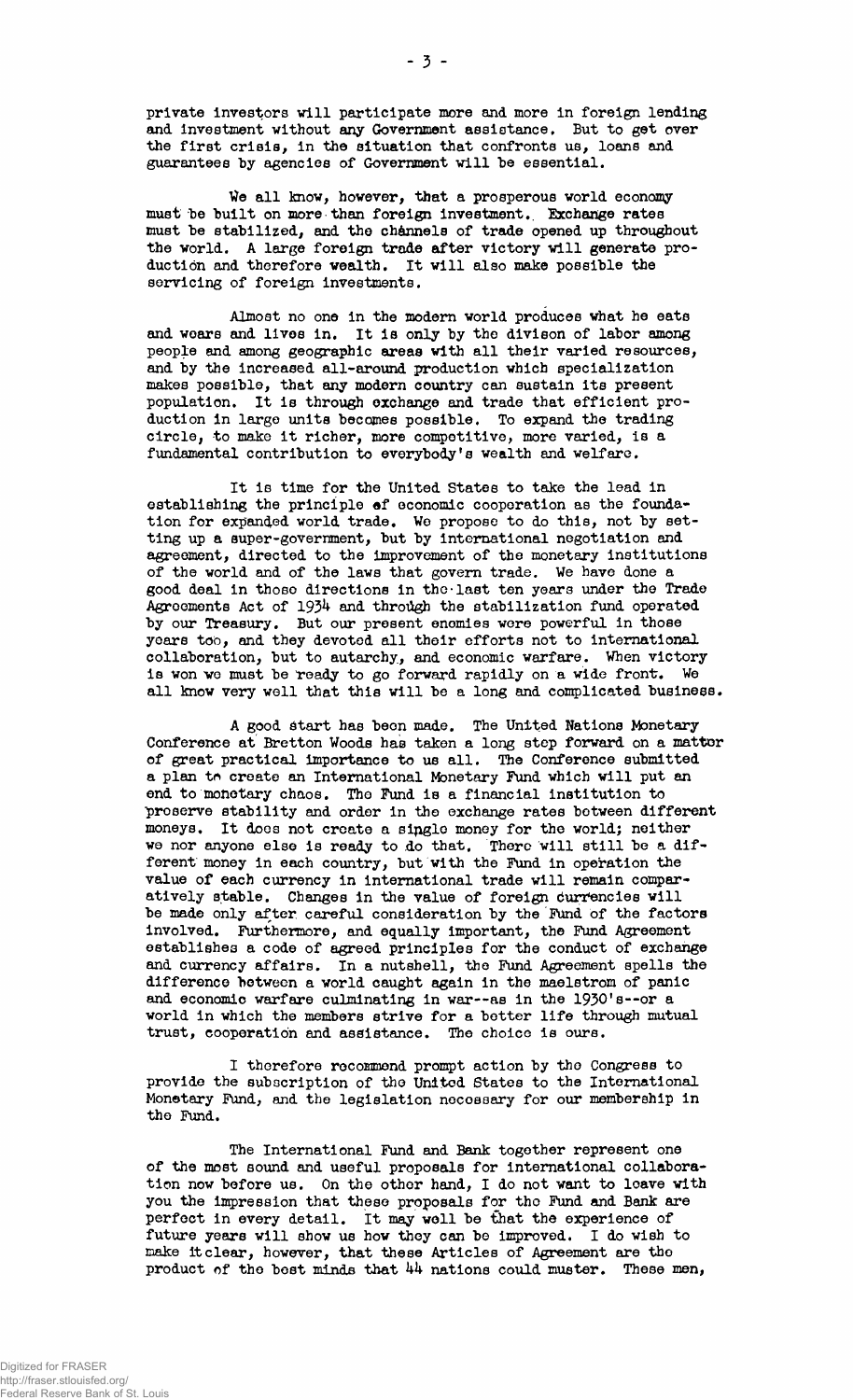private investors will participate more and more in foreign lending and investment without any Government assistance. But to get over the first crisis, in the situation that confronts us, loans and guarantees by agencies of Government will be essential.

We all know, however, that a prosperous world economy must be built on more than foreign investment.. Exchange rates must be stabilized, and the channels of trade opened up throughout the world. A large foreign trade after victory will generate production and therefore wealth. It will also make possible the servicing of foreign investments.

Almost no one in the modern world produces what he eats and wears and lives in. It is only by the divison of labor among people and among geographic areas with all their varied resources, and by the increased all-around production which specialization makes possible, that any modern country can sustain its present population. It is through exchange and trade that efficient production in large units becomes possible. To expand the trading circle, to make it richer, more competitive, more varied, is a fundamental contribution to everybody's wealth and welfare.

It is time for the United States to take the lead in establishing the principle af economic cooperation as the foundation for expanded world trade. We propose to do this, not by setting up a super-government, but by international negotiation and agreement, directed to the improvement of the monetary institutions of the world and of the laws that govern trade. We have done a good deal in thoso directions in the-last ten yeara under the Trade Agreements Act of 1934 and through the stabilization fund operated by our Treasury. But our present enemies were powerful in those years too, and they devoted all their efforts not to international collaboration, but to autarchy, and economic warfare. When victory is won vo must be ready to go forward rapidly on a wide front. We all know very well that this will be a long and complicated business.

A good 6tart has boon made. The United Nations Monetary Conference at Bretton Woods has taken a long step forward on a matter of great practical importance to us all. The Conference submitted a plan to create an International Monetary Fund which will put an end to monetary chaos. The Fund is a financial institution to •proserve stability and order in the exchange rates between different moneys. It does not create a single money for the world; neither we nor anyone else is ready to do that. There will still be a different money in each country, but with the Fund in operation the value of each currency in international trade will remain compare atively stable. Changes in the value of foreign durrencles will be made only after careful consideration by the Fund of the factors involved. Furthermore, and equally important, the Fund Agreement establishes a code of agreed principles for the conduct of exchange and currency affairs. In a nutshell, the Fund Agreement spells the difference between a world caught again in the maelstrom of panic and economic warfare culminating in war--as in the 1930's--or a world in which the members strive for a better life through mutual trust, cooperation and assistance. The choice is ours.

I therefore recommend prompt action by the Congress to provide the subscription of the United States to the International Monetary Fund, and the legislation necessary for our membership in the Fund.

The International Fund and Bank together represent one of the most sound and useful proposals for international collaboration now before us. On the othor hand, I do not want to leave with you the impression that these proposals for tho Fund and Bank are perfect in every detail. It may well be that the experience of future years will show us how they can bo improved. I do wish to make it clear, however, that these Articles of Agreement are the product of the best minds that  $44$  nations could muster. These men,